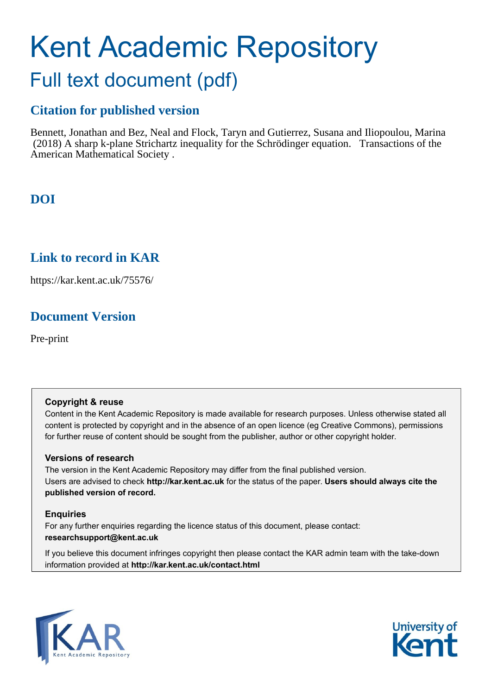# Kent Academic Repository Full text document (pdf)

## **Citation for published version**

Bennett, Jonathan and Bez, Neal and Flock, Taryn and Gutierrez, Susana and Iliopoulou, Marina (2018) A sharp k-plane Strichartz inequality for the Schrödinger equation. Transactions of the American Mathematical Society .

## **DOI**

## **Link to record in KAR**

https://kar.kent.ac.uk/75576/

## **Document Version**

Pre-print

### **Copyright & reuse**

Content in the Kent Academic Repository is made available for research purposes. Unless otherwise stated all content is protected by copyright and in the absence of an open licence (eg Creative Commons), permissions for further reuse of content should be sought from the publisher, author or other copyright holder.

### **Versions of research**

The version in the Kent Academic Repository may differ from the final published version. Users are advised to check **http://kar.kent.ac.uk** for the status of the paper. **Users should always cite the published version of record.**

### **Enquiries**

For any further enquiries regarding the licence status of this document, please contact: **researchsupport@kent.ac.uk**

If you believe this document infringes copyright then please contact the KAR admin team with the take-down information provided at **http://kar.kent.ac.uk/contact.html**



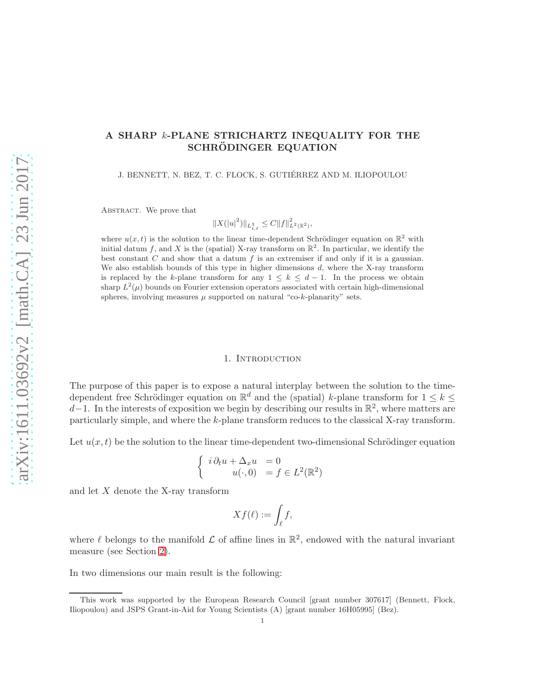#### A SHARP k-PLANE STRICHARTZ INEQUALITY FOR THE SCHRÖDINGER EQUATION

J. BENNETT, N. BEZ, T. C. FLOCK, S. GUTIÉRREZ AND M. ILIOPOULOU

ABSTRACT. We prove that

 $||X(|u|^2)||_{L^3_{t,\ell}} \leq C||f||^2_{L^2(\mathbb{R}^2)},$ 

where  $u(x,t)$  is the solution to the linear time-dependent Schrödinger equation on  $\mathbb{R}^2$  with initial datum f, and X is the (spatial) X-ray transform on  $\mathbb{R}^2$ . In particular, we identify the best constant  $C$  and show that a datum  $f$  is an extremiser if and only if it is a gaussian. We also establish bounds of this type in higher dimensions  $d$ , where the X-ray transform is replaced by the k-plane transform for any  $1 \leq k \leq d-1$ . In the process we obtain sharp  $L^2(\mu)$  bounds on Fourier extension operators associated with certain high-dimensional spheres, involving measures  $\mu$  supported on natural "co-k-planarity" sets.

#### 1. INTRODUCTION

The purpose of this paper is to expose a natural interplay between the solution to the timedependent free Schrödinger equation on  $\mathbb{R}^d$  and the (spatial) k-plane transform for  $1 \leq k \leq$ d-1. In the interests of exposition we begin by describing our results in  $\mathbb{R}^2$ , where matters are particularly simple, and where the k-plane transform reduces to the classical X-ray transform.

Let  $u(x, t)$  be the solution to the linear time-dependent two-dimensional Schrödinger equation

$$
\begin{cases}\ni \partial_t u + \Delta_x u = 0 \\
u(\cdot, 0) = f \in L^2(\mathbb{R}^2)\n\end{cases}
$$

and let  $X$  denote the X-ray transform

$$
Xf(\ell) := \int_{\ell} f,
$$

where  $\ell$  belongs to the manifold  $\mathcal L$  of affine lines in  $\mathbb R^2$ , endowed with the natural invariant measure (see Section 2).

In two dimensions our main result is the following:

This work was supported by the European Research Council [grant number 307617] (Bennett, Flock, Iliopoulou) and JSPS Grant-in-Aid for Young Scientists (A) [grant number 16H05995] (Bez).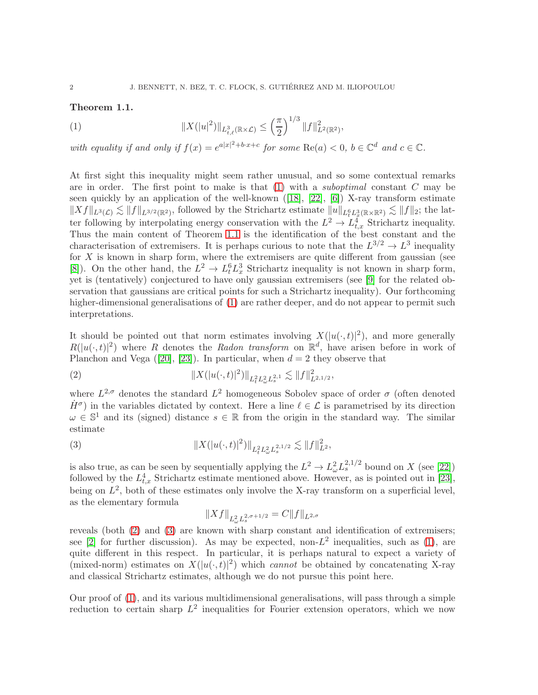#### Theorem 1.1.

(1) 
$$
||X(|u|^2)||_{L^3_{t,\ell}(\mathbb{R}\times\mathcal{L})}\leq \left(\frac{\pi}{2}\right)^{1/3}||f||^2_{L^2(\mathbb{R}^2)},
$$

with equality if and only if  $f(x) = e^{a|x|^2 + b \cdot x + c}$  for some  $\text{Re}(a) < 0$ ,  $b \in \mathbb{C}^d$  and  $c \in \mathbb{C}$ .

At first sight this inequality might seem rather unusual, and so some contextual remarks are in order. The first point to make is that  $(1)$  with a *suboptimal* constant C may be seen quickly by an application of the well-known ([18], [22], [6]) X-ray transform estimate  $||Xf||_{L^3(\mathcal{L})} \lesssim ||f||_{L^{3/2}(\mathbb{R}^2)}$ , followed by the Strichartz estimate  $||u||_{L_t^6 L_x^3(\mathbb{R} \times \mathbb{R}^2)} \lesssim ||f||_2$ ; the latter following by interpolating energy conservation with the  $L^2 \to L^4_{t,x}$  Strichartz inequality. Thus the main content of Theorem 1.1 is the identification of the best constant and the characterisation of extremisers. It is perhaps curious to note that the  $L^{3/2} \to L^3$  inequality for  $X$  is known in sharp form, where the extremisers are quite different from gaussian (see [8]). On the other hand, the  $L^2 \to L^6_t L^3_x$  Strichartz inequality is not known in sharp form, yet is (tentatively) conjectured to have only gaussian extremisers (see [9] for the related observation that gaussians are critical points for such a Strichartz inequality). Our forthcoming higher-dimensional generalisations of  $(1)$  are rather deeper, and do not appear to permit such interpretations.

It should be pointed out that norm estimates involving  $X(|u(\cdot,t)|^2)$ , and more generally  $R(|u(\cdot,t)|^2)$  where R denotes the Radon transform on  $\mathbb{R}^d$ , have arisen before in work of Planchon and Vega ([20], [23]). In particular, when  $d = 2$  they observe that

(2) 
$$
||X(|u(\cdot,t)|^2)||_{L_t^2 L_\omega^2 L_s^{2,1}} \lesssim ||f||_{L^{2,1/2}}^2,
$$

where  $L^{2,\sigma}$  denotes the standard  $L^2$  homogeneous Sobolev space of order  $\sigma$  (often denoted  $\dot{H}^{\sigma}$ ) in the variables dictated by context. Here a line  $\ell \in \mathcal{L}$  is parametrised by its direction  $\omega \in \mathbb{S}^1$  and its (signed) distance  $s \in \mathbb{R}$  from the origin in the standard way. The similar estimate

(3) 
$$
||X(|u(\cdot,t)|^2)||_{L_t^2 L_\omega^2 L_s^{2,1/2}} \lesssim ||f||_{L^2}^2,
$$

is also true, as can be seen by sequentially applying the  $L^2 \to L^2_{\omega} L^{2,1/2}_s$  bound on X (see [22]) followed by the  $L_{t,x}^4$  Strichartz estimate mentioned above. However, as is pointed out in [23], being on  $L^2$ , both of these estimates only involve the X-ray transform on a superficial level, as the elementary formula

$$
||Xf||_{L^2_{\omega}L^{2,\sigma+1/2}_{s}} = C||f||_{L^{2,\sigma}}
$$

reveals (both (2) and (3) are known with sharp constant and identification of extremisers; see [2] for further discussion). As may be expected, non- $L^2$  inequalities, such as (1), are quite different in this respect. In particular, it is perhaps natural to expect a variety of (mixed-norm) estimates on  $X(|u(\cdot,t)|^2)$  which *cannot* be obtained by concatenating X-ray and classical Strichartz estimates, although we do not pursue this point here.

Our proof of (1), and its various multidimensional generalisations, will pass through a simple reduction to certain sharp  $L^2$  inequalities for Fourier extension operators, which we now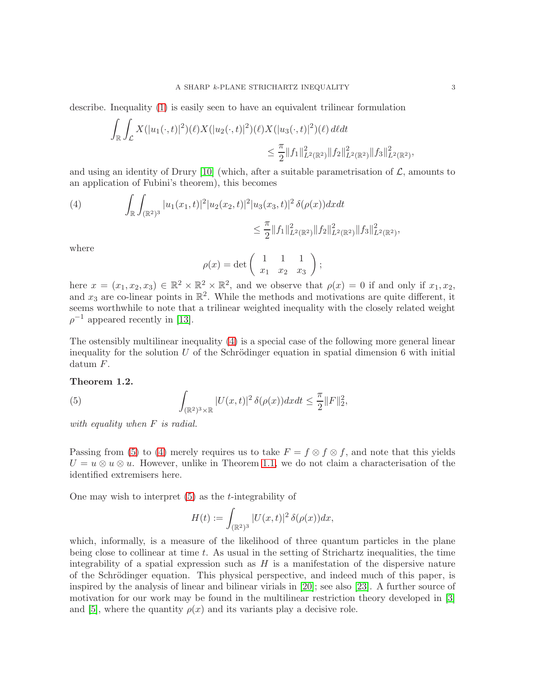describe. Inequality (1) is easily seen to have an equivalent trilinear formulation

$$
\int_{\mathbb{R}} \int_{\mathcal{L}} X(|u_1(\cdot,t)|^2) (\ell) X(|u_2(\cdot,t)|^2) (\ell) X(|u_3(\cdot,t)|^2) (\ell) d\ell dt
$$
  

$$
\leq \frac{\pi}{2} ||f_1||_{L^2(\mathbb{R}^2)}^2 ||f_2||_{L^2(\mathbb{R}^2)}^2 ||f_3||_{L^2(\mathbb{R}^2)}^2
$$

and using an identity of Drury [10] (which, after a suitable parametrisation of  $\mathcal{L}$ , amounts to an application of Fubini's theorem), this becomes

(4) 
$$
\int_{\mathbb{R}} \int_{(\mathbb{R}^2)^3} |u_1(x_1,t)|^2 |u_2(x_2,t)|^2 |u_3(x_3,t)|^2 \delta(\rho(x)) dx dt
$$
  

$$
\leq \frac{\pi}{2} ||f_1||^2_{L^2(\mathbb{R}^2)} ||f_2||^2_{L^2(\mathbb{R}^2)} ||f_3||^2_{L^2(\mathbb{R}^2)},
$$

where

$$
\rho(x)=\det\left(\begin{array}{ccc} 1 & 1 & 1 \\ x_1 & x_2 & x_3 \end{array}\right);
$$

here  $x = (x_1, x_2, x_3) \in \mathbb{R}^2 \times \mathbb{R}^2 \times \mathbb{R}^2$ , and we observe that  $\rho(x) = 0$  if and only if  $x_1, x_2$ , and  $x_3$  are co-linear points in  $\mathbb{R}^2$ . While the methods and motivations are quite different, it seems worthwhile to note that a trilinear weighted inequality with the closely related weight  $\rho^{-1}$  appeared recently in [13].

The ostensibly multilinear inequality (4) is a special case of the following more general linear inequality for the solution  $U$  of the Schrödinger equation in spatial dimension 6 with initial datum F.

#### Theorem 1.2.

(5) 
$$
\int_{(\mathbb{R}^2)^3 \times \mathbb{R}} |U(x,t)|^2 \delta(\rho(x)) dx dt \leq \frac{\pi}{2} ||F||_2^2,
$$

with equality when F is radial.

Passing from (5) to (4) merely requires us to take  $F = f \otimes f \otimes f$ , and note that this yields  $U = u \otimes u \otimes u$ . However, unlike in Theorem 1.1, we do not claim a characterisation of the identified extremisers here.

One may wish to interpret  $(5)$  as the *t*-integrability of

$$
H(t) := \int_{(\mathbb{R}^2)^3} |U(x,t)|^2 \, \delta(\rho(x)) dx,
$$

which, informally, is a measure of the likelihood of three quantum particles in the plane being close to collinear at time  $t$ . As usual in the setting of Strichartz inequalities, the time integrability of a spatial expression such as  $H$  is a manifestation of the dispersive nature of the Schrödinger equation. This physical perspective, and indeed much of this paper, is inspired by the analysis of linear and bilinear virials in [20]; see also [23]. A further source of motivation for our work may be found in the multilinear restriction theory developed in [3] and [5], where the quantity  $\rho(x)$  and its variants play a decisive role.

,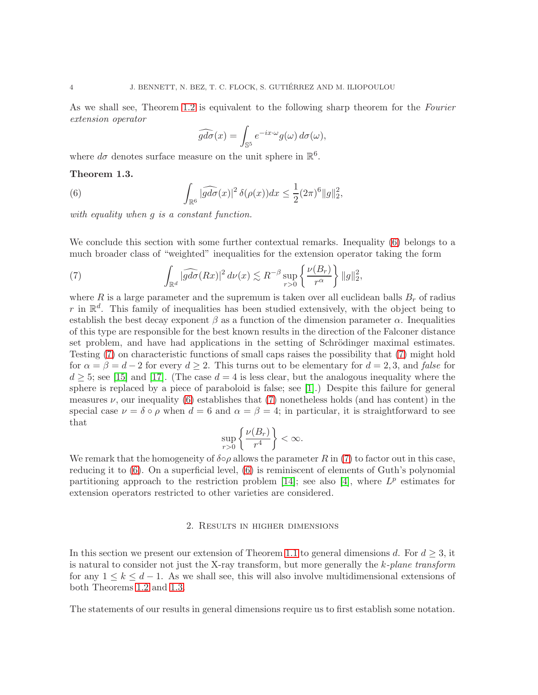As we shall see, Theorem 1.2 is equivalent to the following sharp theorem for the Fourier extension operator

$$
\widehat{gd\sigma}(x) = \int_{\mathbb{S}^5} e^{-ix \cdot \omega} g(\omega) d\sigma(\omega),
$$

where  $d\sigma$  denotes surface measure on the unit sphere in  $\mathbb{R}^6$ .

#### Theorem 1.3.

(6) 
$$
\int_{\mathbb{R}^6} |\widehat{gd\sigma}(x)|^2 \delta(\rho(x))dx \leq \frac{1}{2} (2\pi)^6 ||g||_2^2,
$$

with equality when q is a constant function.

We conclude this section with some further contextual remarks. Inequality (6) belongs to a much broader class of "weighted" inequalities for the extension operator taking the form

(7) 
$$
\int_{\mathbb{R}^d} |\widehat{gd\sigma}(Rx)|^2 d\nu(x) \lesssim R^{-\beta} \sup_{r>0} \left\{ \frac{\nu(B_r)}{r^{\alpha}} \right\} ||g||_2^2,
$$

where R is a large parameter and the supremum is taken over all euclidean balls  $B_r$  of radius r in  $\mathbb{R}^d$ . This family of inequalities has been studied extensively, with the object being to establish the best decay exponent  $\beta$  as a function of the dimension parameter  $\alpha$ . Inequalities of this type are responsible for the best known results in the direction of the Falconer distance set problem, and have had applications in the setting of Schrödinger maximal estimates. Testing (7) on characteristic functions of small caps raises the possibility that (7) might hold for  $\alpha = \beta = d - 2$  for every  $d \geq 2$ . This turns out to be elementary for  $d = 2, 3$ , and false for  $d \geq 5$ ; see [15] and [17]. (The case  $d = 4$  is less clear, but the analogous inequality where the sphere is replaced by a piece of paraboloid is false; see [1].) Despite this failure for general measures  $\nu$ , our inequality (6) establishes that (7) nonetheless holds (and has content) in the special case  $\nu = \delta \circ \rho$  when  $d = 6$  and  $\alpha = \beta = 4$ ; in particular, it is straightforward to see that

$$
\sup_{r>0}\left\{\frac{\nu(B_r)}{r^4}\right\}<\infty.
$$

We remark that the homogeneity of  $\delta \circ \rho$  allows the parameter R in (7) to factor out in this case, reducing it to (6). On a superficial level, (6) is reminiscent of elements of Guth's polynomial partitioning approach to the restriction problem [14]; see also [4], where  $L^p$  estimates for extension operators restricted to other varieties are considered.

#### 2. Results in higher dimensions

In this section we present our extension of Theorem 1.1 to general dimensions d. For  $d \geq 3$ , it is natural to consider not just the X-ray transform, but more generally the  $k$ -plane transform for any  $1 \leq k \leq d-1$ . As we shall see, this will also involve multidimensional extensions of both Theorems 1.2 and 1.3.

The statements of our results in general dimensions require us to first establish some notation.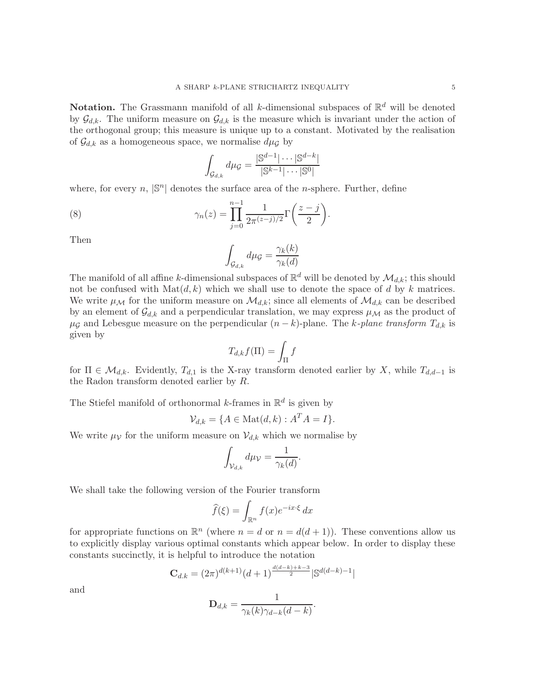**Notation.** The Grassmann manifold of all k-dimensional subspaces of  $\mathbb{R}^d$  will be denoted by  $\mathcal{G}_{d,k}$ . The uniform measure on  $\mathcal{G}_{d,k}$  is the measure which is invariant under the action of the orthogonal group; this measure is unique up to a constant. Motivated by the realisation of  $\mathcal{G}_{d,k}$  as a homogeneous space, we normalise  $d\mu_{\mathcal{G}}$  by

$$
\int_{\mathcal{G}_{d,k}} d\mu_{\mathcal{G}} = \frac{|\mathbb{S}^{d-1}|\cdots|\mathbb{S}^{d-k}|}{|\mathbb{S}^{k-1}|\cdots|\mathbb{S}^{0}|}
$$

where, for every  $n$ ,  $|\mathbb{S}^n|$  denotes the surface area of the *n*-sphere. Further, define

(8) 
$$
\gamma_n(z) = \prod_{j=0}^{n-1} \frac{1}{2\pi^{(z-j)/2}} \Gamma\left(\frac{z-j}{2}\right).
$$

Then

$$
\int_{\mathcal{G}_{d,k}} d\mu_{\mathcal{G}} = \frac{\gamma_k(k)}{\gamma_k(d)}
$$

The manifold of all affine k-dimensional subspaces of  $\mathbb{R}^d$  will be denoted by  $\mathcal{M}_{d,k}$ ; this should not be confused with  $\text{Mat}(d, k)$  which we shall use to denote the space of d by k matrices. We write  $\mu_{\mathcal{M}}$  for the uniform measure on  $\mathcal{M}_{d,k}$ ; since all elements of  $\mathcal{M}_{d,k}$  can be described by an element of  $\mathcal{G}_{d,k}$  and a perpendicular translation, we may express  $\mu_{\mathcal{M}}$  as the product of  $\mu$ g and Lebesgue measure on the perpendicular  $(n-k)$ -plane. The k-plane transform  $T_{d,k}$  is given by

$$
T_{d,k}f(\Pi) = \int_{\Pi} f
$$

for  $\Pi \in \mathcal{M}_{d,k}$ . Evidently,  $T_{d,1}$  is the X-ray transform denoted earlier by X, while  $T_{d,d-1}$  is the Radon transform denoted earlier by R.

The Stiefel manifold of orthonormal k-frames in  $\mathbb{R}^d$  is given by

$$
\mathcal{V}_{d,k} = \{ A \in \text{Mat}(d,k) : A^T A = I \}.
$$

We write  $\mu_{\mathcal{V}}$  for the uniform measure on  $\mathcal{V}_{d,k}$  which we normalise by

$$
\int_{\mathcal{V}_{d,k}}d\mu_{\mathcal{V}}=\frac{1}{\gamma_k(d)}.
$$

We shall take the following version of the Fourier transform

$$
\widehat{f}(\xi) = \int_{\mathbb{R}^n} f(x)e^{-ix\cdot\xi} dx
$$

for appropriate functions on  $\mathbb{R}^n$  (where  $n = d$  or  $n = d(d+1)$ ). These conventions allow us to explicitly display various optimal constants which appear below. In order to display these constants succinctly, it is helpful to introduce the notation

$$
\mathbf{C}_{d.k} = (2\pi)^{d(k+1)}(d+1)^{\frac{d(d-k)+k-3}{2}}|\mathbb{S}^{d(d-k)-1}|
$$

and

$$
\mathbf{D}_{d,k} = \frac{1}{\gamma_k(k)\gamma_{d-k}(d-k)}.
$$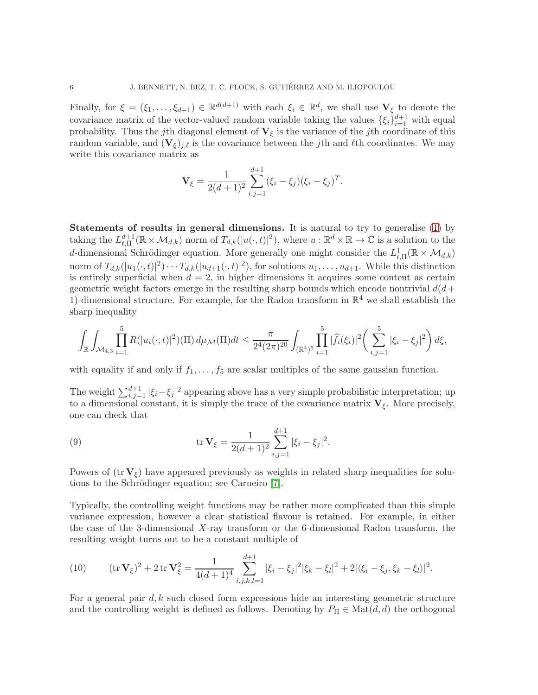Finally, for  $\xi = (\xi_1, \ldots, \xi_{d+1}) \in \mathbb{R}^{d(d+1)}$  with each  $\xi_i \in \mathbb{R}^d$ , we shall use  $\mathbf{V}_{\xi}$  to denote the covariance matrix of the vector-valued random variable taking the values  $\{\xi_i\}_{i=1}^{d+1}$  with equal probability. Thus the jth diagonal element of  $V_{\xi}$  is the variance of the jth coordinate of this random variable, and  $(V_{\xi})_{j,\ell}$  is the covariance between the j<sup>th</sup> and  $\ell$ <sup>th</sup> coordinates. We may write this covariance matrix as

$$
\mathbf{V}_{\xi} = \frac{1}{2(d+1)^2} \sum_{i,j=1}^{d+1} (\xi_i - \xi_j) (\xi_i - \xi_j)^T.
$$

Statements of results in general dimensions. It is natural to try to generalise (1) by taking the  $L^{d+1}_{t,\Pi}$  $t_{t,\Pi}^{d+1}(\mathbb{R}\times\mathcal{M}_{d,k})$  norm of  $T_{d,k}(|u(\cdot,t)|^2)$ , where  $u:\mathbb{R}^d\times\mathbb{R}\to\mathbb{C}$  is a solution to the d-dimensional Schrödinger equation. More generally one might consider the  $L^1_{t,\Pi}(\mathbb{R} \times \mathcal{M}_{d,k})$ norm of  $T_{d,k}(|u_1(\cdot,t)|^2)\cdots T_{d,k}(|u_{d+1}(\cdot,t)|^2)$ , for solutions  $u_1,\ldots,u_{d+1}$ . While this distinction is entirely superficial when  $d = 2$ , in higher dimensions it acquires some content as certain geometric weight factors emerge in the resulting sharp bounds which encode nontrivial  $d(d+$ 1)-dimensional structure. For example, for the Radon transform in  $\mathbb{R}^4$  we shall establish the sharp inequality

$$
\int_{\mathbb{R}} \int_{\mathcal{M}_{4,3}} \prod_{i=1}^{5} R(|u_i(\cdot,t)|^2) (\Pi) d\mu_{\mathcal{M}}(\Pi) dt \leq \frac{\pi}{2^4 (2\pi)^{20}} \int_{(\mathbb{R}^4)^5} \prod_{i=1}^{5} |\widehat{f}_i(\xi_i)|^2 \left(\sum_{i,j=1}^{5} |\xi_i - \xi_j|^2\right) d\xi,
$$

with equality if and only if  $f_1, \ldots, f_5$  are scalar multiples of the same gaussian function.

The weight  $\sum_{i,j=1}^{d+1} |\xi_i - \xi_j|^2$  appearing above has a very simple probabilistic interpretation; up to a dimensional constant, it is simply the trace of the covariance matrix  $V_{\xi}$ . More precisely, one can check that

(9) 
$$
\operatorname{tr} \mathbf{V}_{\xi} = \frac{1}{2(d+1)^2} \sum_{i,j=1}^{d+1} |\xi_i - \xi_j|^2.
$$

Powers of  $(\text{tr } V_f)$  have appeared previously as weights in related sharp inequalities for solutions to the Schrödinger equation; see Carneiro [7].

Typically, the controlling weight functions may be rather more complicated than this simple variance expression, however a clear statistical flavour is retained. For example, in either the case of the 3-dimensional X-ray transform or the 6-dimensional Radon transform, the resulting weight turns out to be a constant multiple of

(10) 
$$
(\operatorname{tr} \mathbf{V}_{\xi})^2 + 2 \operatorname{tr} \mathbf{V}_{\xi}^2 = \frac{1}{4(d+1)^4} \sum_{i,j,k,l=1}^{d+1} |\xi_i - \xi_j|^2 |\xi_k - \xi_l|^2 + 2 |\langle \xi_i - \xi_j, \xi_k - \xi_l \rangle|^2.
$$

For a general pair  $d, k$  such closed form expressions hide an interesting geometric structure and the controlling weight is defined as follows. Denoting by  $P_{\Pi} \in \text{Mat}(d, d)$  the orthogonal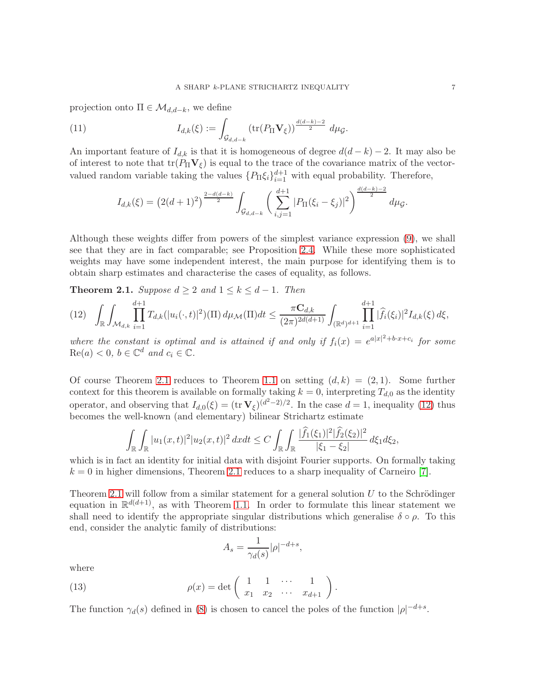projection onto  $\Pi \in \mathcal{M}_{d,d-k}$ , we define

(11) 
$$
I_{d,k}(\xi) := \int_{\mathcal{G}_{d,d-k}} \left( \text{tr}(P_{\Pi} \mathbf{V}_{\xi}) \right)^{\frac{d(d-k)-2}{2}} d\mu_{\mathcal{G}}.
$$

An important feature of  $I_{d,k}$  is that it is homogeneous of degree  $d(d-k)-2$ . It may also be of interest to note that  $tr(P_{\Pi}V_{\xi})$  is equal to the trace of the covariance matrix of the vectorvalued random variable taking the values  $\{P_{\Pi}\xi_i\}_{i=1}^{d+1}$  with equal probability. Therefore,

$$
I_{d,k}(\xi) = \left(2(d+1)^2\right)^{\frac{2-d(d-k)}{2}} \int_{\mathcal{G}_{d,d-k}} \left(\sum_{i,j=1}^{d+1} |P_{\Pi}(\xi_i - \xi_j)|^2\right)^{\frac{d(d-k)-2}{2}} d\mu_{\mathcal{G}}.
$$

Although these weights differ from powers of the simplest variance expression (9), we shall see that they are in fact comparable; see Proposition 2.4. While these more sophisticated weights may have some independent interest, the main purpose for identifying them is to obtain sharp estimates and characterise the cases of equality, as follows.

**Theorem 2.1.** Suppose  $d \geq 2$  and  $1 \leq k \leq d-1$ . Then

$$
(12) \quad \int_{\mathbb{R}} \int_{\mathcal{M}_{d,k}} \prod_{i=1}^{d+1} T_{d,k}(|u_i(\cdot,t)|^2) (\Pi) d\mu_{\mathcal{M}}(\Pi) dt \leq \frac{\pi \mathbf{C}_{d,k}}{(2\pi)^{2d(d+1)}} \int_{(\mathbb{R}^d)^{d+1}} \prod_{i=1}^{d+1} |\widehat{f}_i(\xi_i)|^2 I_{d,k}(\xi) d\xi,
$$

where the constant is optimal and is attained if and only if  $f_i(x) = e^{a|x|^2 + bx + c_i}$  for some  $\text{Re}(a) < 0, b \in \mathbb{C}^d$  and  $c_i \in \mathbb{C}$ .

Of course Theorem 2.1 reduces to Theorem 1.1 on setting  $(d, k) = (2, 1)$ . Some further context for this theorem is available on formally taking  $k = 0$ , interpreting  $T_{d,0}$  as the identity operator, and observing that  $I_{d,0}(\xi) = (\text{tr } \mathbf{V}_{\xi})^{(d^2-2)/2}$ . In the case  $d = 1$ , inequality (12) thus becomes the well-known (and elementary) bilinear Strichartz estimate

$$
\int_{\mathbb{R}} \int_{\mathbb{R}} |u_1(x,t)|^2 |u_2(x,t)|^2 dx dt \leq C \int_{\mathbb{R}} \int_{\mathbb{R}} \frac{|\hat{f}_1(\xi_1)|^2 |\hat{f}_2(\xi_2)|^2}{|\xi_1 - \xi_2|} d\xi_1 d\xi_2,
$$

which is in fact an identity for initial data with disjoint Fourier supports. On formally taking  $k = 0$  in higher dimensions, Theorem 2.1 reduces to a sharp inequality of Carneiro [7].

Theorem 2.1 will follow from a similar statement for a general solution  $U$  to the Schrödinger equation in  $\mathbb{R}^{d(d+1)}$ , as with Theorem 1.1. In order to formulate this linear statement we shall need to identify the appropriate singular distributions which generalise  $\delta \circ \rho$ . To this end, consider the analytic family of distributions:

$$
A_s = \frac{1}{\gamma_d(s)} |\rho|^{-d+s},
$$

where

(13) 
$$
\rho(x) = \det \begin{pmatrix} 1 & 1 & \cdots & 1 \\ x_1 & x_2 & \cdots & x_{d+1} \end{pmatrix}.
$$

The function  $\gamma_d(s)$  defined in (8) is chosen to cancel the poles of the function  $|\rho|^{-d+s}$ .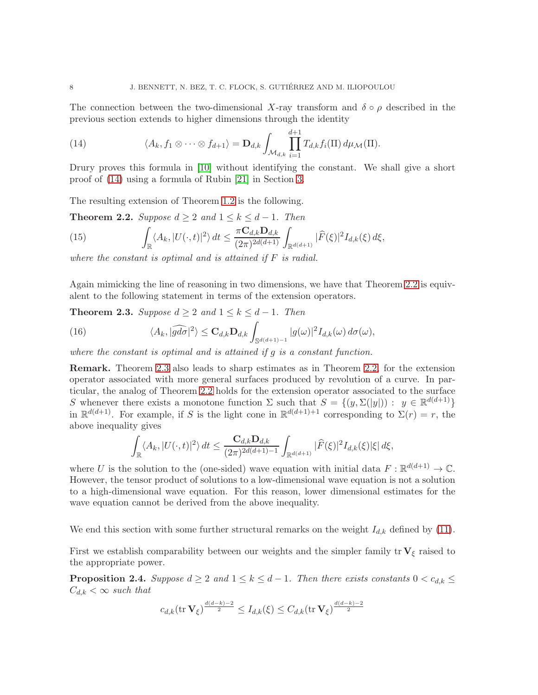The connection between the two-dimensional X-ray transform and  $\delta \circ \rho$  described in the previous section extends to higher dimensions through the identity

(14) 
$$
\langle A_k, f_1 \otimes \cdots \otimes f_{d+1} \rangle = \mathbf{D}_{d,k} \int_{\mathcal{M}_{d,k}} \prod_{i=1}^{d+1} T_{d,k} f_i(\Pi) d\mu_{\mathcal{M}}(\Pi).
$$

Drury proves this formula in [10] without identifying the constant. We shall give a short proof of (14) using a formula of Rubin [21] in Section 3.

The resulting extension of Theorem 1.2 is the following.

**Theorem 2.2.** Suppose  $d \geq 2$  and  $1 \leq k \leq d-1$ . Then

(15) 
$$
\int_{\mathbb{R}} \langle A_k, |U(\cdot,t)|^2 \rangle dt \leq \frac{\pi \mathbf{C}_{d,k} \mathbf{D}_{d,k}}{(2\pi)^{2d(d+1)}} \int_{\mathbb{R}^{d(d+1)}} |\widehat{F}(\xi)|^2 I_{d,k}(\xi) d\xi,
$$

where the constant is optimal and is attained if  $F$  is radial.

Again mimicking the line of reasoning in two dimensions, we have that Theorem 2.2 is equivalent to the following statement in terms of the extension operators.

**Theorem 2.3.** Suppose  $d \geq 2$  and  $1 \leq k \leq d-1$ . Then

(16) 
$$
\langle A_k, |\widehat{gd\sigma}|^2 \rangle \leq \mathbf{C}_{d,k} \mathbf{D}_{d,k} \int_{\mathbb{S}^{d(d+1)-1}} |g(\omega)|^2 I_{d,k}(\omega) d\sigma(\omega),
$$

where the constant is optimal and is attained if g is a constant function.

Remark. Theorem 2.3 also leads to sharp estimates as in Theorem 2.2, for the extension operator associated with more general surfaces produced by revolution of a curve. In particular, the analog of Theorem 2.2 holds for the extension operator associated to the surface S whenever there exists a monotone function  $\Sigma$  such that  $S = \{(y, \Sigma(|y|)) : y \in \mathbb{R}^{d(d+1)}\}\$ in  $\mathbb{R}^{d(d+1)}$ . For example, if S is the light cone in  $\mathbb{R}^{d(d+1)+1}$  corresponding to  $\Sigma(r) = r$ , the above inequality gives

$$
\int_{\mathbb{R}} \langle A_k, |U(\cdot,t)|^2 \rangle dt \leq \frac{\mathbf{C}_{d,k} \mathbf{D}_{d,k}}{(2\pi)^{2d(d+1)-1}} \int_{\mathbb{R}^{d(d+1)}} |\widehat{F}(\xi)|^2 I_{d,k}(\xi) |\xi| d\xi,
$$

where U is the solution to the (one-sided) wave equation with initial data  $F : \mathbb{R}^{d(d+1)} \to \mathbb{C}$ . However, the tensor product of solutions to a low-dimensional wave equation is not a solution to a high-dimensional wave equation. For this reason, lower dimensional estimates for the wave equation cannot be derived from the above inequality.

We end this section with some further structural remarks on the weight  $I_{d,k}$  defined by (11).

First we establish comparability between our weights and the simpler family tr  $V_{\xi}$  raised to the appropriate power.

**Proposition 2.4.** Suppose  $d \geq 2$  and  $1 \leq k \leq d-1$ . Then there exists constants  $0 < c_{d,k} \leq$  $C_{d,k} < \infty$  such that

$$
c_{d,k}(\operatorname{tr}\mathbf{V}_{\xi})^{\frac{d(d-k)-2}{2}}\leq I_{d,k}(\xi)\leq C_{d,k}(\operatorname{tr}\mathbf{V}_{\xi})^{\frac{d(d-k)-2}{2}}
$$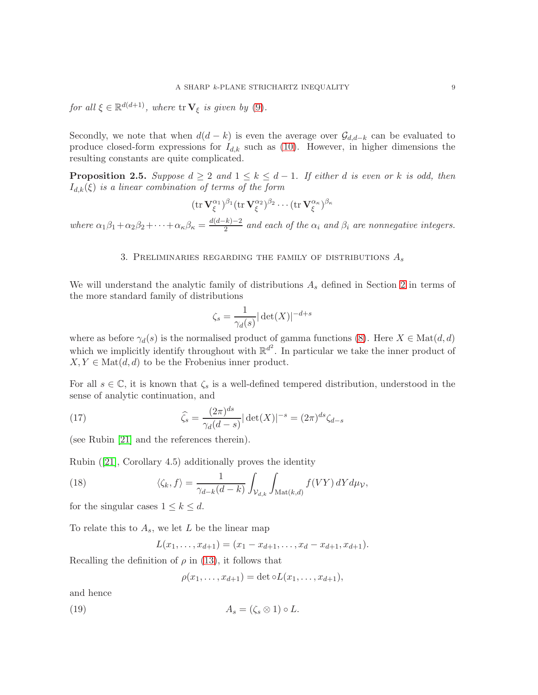for all  $\xi \in \mathbb{R}^{d(d+1)}$ , where  $\text{tr }\mathbf{V}_{\xi}$  is given by (9).

Secondly, we note that when  $d(d-k)$  is even the average over  $\mathcal{G}_{d,d-k}$  can be evaluated to produce closed-form expressions for  $I_{d,k}$  such as (10). However, in higher dimensions the resulting constants are quite complicated.

**Proposition 2.5.** Suppose  $d \geq 2$  and  $1 \leq k \leq d-1$ . If either d is even or k is odd, then  $I_{d,k}(\xi)$  is a linear combination of terms of the form

$$
(\operatorname{tr} \mathbf{V}^{\alpha_1}_{\xi})^{\beta_1} (\operatorname{tr} \mathbf{V}^{\alpha_2}_{\xi})^{\beta_2} \cdots (\operatorname{tr} \mathbf{V}^{\alpha_{\kappa}}_{\xi})^{\beta_{\kappa}}
$$

where  $\alpha_1\beta_1 + \alpha_2\beta_2 + \cdots + \alpha_\kappa\beta_\kappa = \frac{d(d-k)-2}{2}$  $\frac{\pi}{2}$  and each of the  $\alpha_i$  and  $\beta_i$  are nonnegative integers.

#### 3. PRELIMINARIES REGARDING THE FAMILY OF DISTRIBUTIONS  $A_s$

We will understand the analytic family of distributions  $A_s$  defined in Section 2 in terms of the more standard family of distributions

$$
\zeta_s = \frac{1}{\gamma_d(s)} |\det(X)|^{-d+s}
$$

where as before  $\gamma_d(s)$  is the normalised product of gamma functions (8). Here  $X \in Mat(d, d)$ which we implicitly identify throughout with  $\mathbb{R}^{d^2}$ . In particular we take the inner product of  $X, Y \in \text{Mat}(d, d)$  to be the Frobenius inner product.

For all  $s \in \mathbb{C}$ , it is known that  $\zeta_s$  is a well-defined tempered distribution, understood in the sense of analytic continuation, and

(17) 
$$
\widehat{\zeta_s} = \frac{(2\pi)^{ds}}{\gamma_d(d-s)} |\det(X)|^{-s} = (2\pi)^{ds} \zeta_{d-s}
$$

(see Rubin [21] and the references therein).

Rubin ([21], Corollary 4.5) additionally proves the identity

(18) 
$$
\langle \zeta_k, f \rangle = \frac{1}{\gamma_{d-k}(d-k)} \int_{\mathcal{V}_{d,k}} \int_{\mathrm{Mat}(k,d)} f(VY) \, dY d\mu_{\mathcal{V}},
$$

for the singular cases  $1 \leq k \leq d$ .

To relate this to  $A_s$ , we let L be the linear map

$$
L(x_1,\ldots,x_{d+1})=(x_1-x_{d+1},\ldots,x_d-x_{d+1},x_{d+1}).
$$

Recalling the definition of  $\rho$  in (13), it follows that

$$
\rho(x_1,\ldots,x_{d+1})=\det\circ L(x_1,\ldots,x_{d+1}),
$$

and hence

$$
(19) \t\t As = (\zetas \otimes 1) \circ L.
$$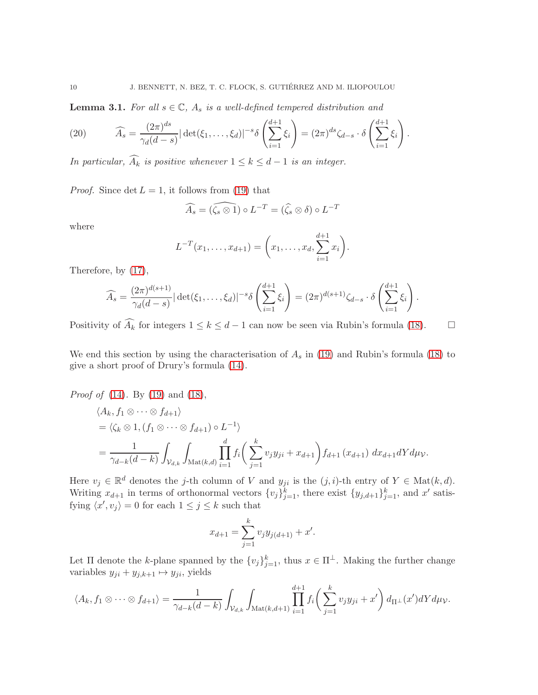**Lemma 3.1.** For all  $s \in \mathbb{C}$ ,  $A_s$  is a well-defined tempered distribution and

(20) 
$$
\widehat{A}_s = \frac{(2\pi)^{ds}}{\gamma_d(d-s)} |\det(\xi_1,\ldots,\xi_d)|^{-s} \delta\left(\sum_{i=1}^{d+1} \xi_i\right) = (2\pi)^{ds} \zeta_{d-s} \cdot \delta\left(\sum_{i=1}^{d+1} \xi_i\right).
$$

In particular,  $\widehat{A_k}$  is positive whenever  $1 \leq k \leq d-1$  is an integer.

*Proof.* Since  $\det L = 1$ , it follows from (19) that

$$
\widehat{A_s} = (\widehat{\zeta_s \otimes 1}) \circ L^{-T} = (\widehat{\zeta_s} \otimes \delta) \circ L^{-T}
$$

where

$$
L^{-T}(x_1,\ldots,x_{d+1})=\left(x_1,\ldots,x_d,\sum_{i=1}^{d+1}x_i\right).
$$

Therefore, by (17),

$$
\widehat{A_s} = \frac{(2\pi)^{d(s+1)}}{\gamma_d(d-s)} |\det(\xi_1,\ldots,\xi_d)|^{-s} \delta\left(\sum_{i=1}^{d+1} \xi_i\right) = (2\pi)^{d(s+1)} \zeta_{d-s} \cdot \delta\left(\sum_{i=1}^{d+1} \xi_i\right).
$$

Positivity of  $\widehat{A_k}$  for integers  $1 \leq k \leq d-1$  can now be seen via Rubin's formula (18).  $\Box$ 

We end this section by using the characterisation of  $A_s$  in (19) and Rubin's formula (18) to give a short proof of Drury's formula (14).

Proof of (14). By (19) and (18),

$$
\langle A_k, f_1 \otimes \cdots \otimes f_{d+1} \rangle
$$
  
=  $\langle \zeta_k \otimes 1, (f_1 \otimes \cdots \otimes f_{d+1}) \circ L^{-1} \rangle$   
=  $\frac{1}{\gamma_{d-k}(d-k)} \int_{\mathcal{V}_{d,k}} \int_{\text{Mat}(k,d)} \prod_{i=1}^d f_i \left( \sum_{j=1}^k v_j y_{ji} + x_{d+1} \right) f_{d+1} (x_{d+1}) dx_{d+1} dY d\mu \nu.$ 

Here  $v_j \in \mathbb{R}^d$  denotes the j-th column of V and  $y_{ji}$  is the  $(j, i)$ -th entry of  $Y \in \text{Mat}(k, d)$ . Writing  $x_{d+1}$  in terms of orthonormal vectors  $\{v_j\}_{j=1}^k$ , there exist  $\{y_{j,d+1}\}_{j=1}^k$ , and  $x'$  satisfying  $\langle x', v_j \rangle = 0$  for each  $1 \le j \le k$  such that

$$
x_{d+1} = \sum_{j=1}^{k} v_j y_{j(d+1)} + x'.
$$

Let  $\Pi$  denote the k-plane spanned by the  $\{v_j\}_{j=1}^k$ , thus  $x \in \Pi^{\perp}$ . Making the further change variables  $y_{ji} + y_{j,k+1} \mapsto y_{ji}$ , yields

$$
\langle A_k, f_1 \otimes \cdots \otimes f_{d+1} \rangle = \frac{1}{\gamma_{d-k}(d-k)} \int_{\mathcal{V}_{d,k}} \int_{\text{Mat}(k,d+1)} \prod_{i=1}^{d+1} f_i \bigg( \sum_{j=1}^k v_j y_{ji} + x' \bigg) d\pi \perp (x') dY d\mu_{\mathcal{V}}.
$$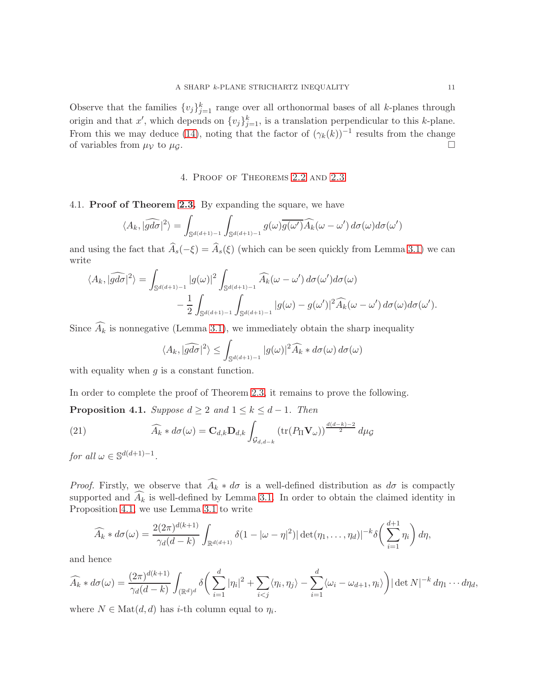Observe that the families  $\{v_j\}_{j=1}^k$  range over all orthonormal bases of all k-planes through origin and that x', which depends on  $\{v_j\}_{j=1}^k$ , is a translation perpendicular to this k-plane. From this we may deduce (14), noting that the factor of  $(\gamma_k(k))^{-1}$  results from the change of variables from  $\mu_{\mathcal{V}}$  to  $\mu_{\mathcal{G}}$ .

#### 4. Proof of Theorems 2.2 and 2.3

#### 4.1. Proof of Theorem 2.3. By expanding the square, we have

$$
\langle A_k, |\widehat{gd\sigma}|^2 \rangle = \int_{\mathbb{S}^{d(d+1)-1}} \int_{\mathbb{S}^{d(d+1)-1}} g(\omega) \overline{g(\omega')} \widehat{A_k}(\omega - \omega') d\sigma(\omega) d\sigma(\omega')
$$

and using the fact that  $\widehat{A}_s(-\xi) = \widehat{A}_s(\xi)$  (which can be seen quickly from Lemma 3.1) we can write

$$
\langle A_k, |\widehat{gd\sigma}|^2 \rangle = \int_{\mathbb{S}^{d(d+1)-1}} |g(\omega)|^2 \int_{\mathbb{S}^{d(d+1)-1}} \widehat{A_k}(\omega - \omega') d\sigma(\omega') d\sigma(\omega) - \frac{1}{2} \int_{\mathbb{S}^{d(d+1)-1}} \int_{\mathbb{S}^{d(d+1)-1}} |g(\omega) - g(\omega')|^2 \widehat{A_k}(\omega - \omega') d\sigma(\omega) d\sigma(\omega').
$$

Since  $\widehat{A_k}$  is nonnegative (Lemma 3.1), we immediately obtain the sharp inequality

$$
\langle A_k, |\widehat{gd\sigma}|^2 \rangle \leq \int_{\mathbb{S}^{d(d+1)-1}} |g(\omega)|^2 \widehat{A}_k * d\sigma(\omega) d\sigma(\omega)
$$

with equality when  $g$  is a constant function.

In order to complete the proof of Theorem 2.3, it remains to prove the following.

**Proposition 4.1.** Suppose  $d \geq 2$  and  $1 \leq k \leq d-1$ . Then

(21) 
$$
\widehat{A_k} * d\sigma(\omega) = \mathbf{C}_{d,k} \mathbf{D}_{d,k} \int_{\mathcal{G}_{d,d-k}} \left( \text{tr}(P_{\Pi} \mathbf{V}_{\omega}) \right)^{\frac{d(d-k)-2}{2}} d\mu_{\mathcal{G}}
$$

for all  $\omega \in \mathbb{S}^{d(d+1)-1}$ .

*Proof.* Firstly, we observe that  $\widehat{A_k} * d\sigma$  is a well-defined distribution as  $d\sigma$  is compactly supported and  $\widehat{A_k}$  is well-defined by Lemma 3.1. In order to obtain the claimed identity in Proposition 4.1, we use Lemma 3.1 to write

$$
\widehat{A}_k * d\sigma(\omega) = \frac{2(2\pi)^{d(k+1)}}{\gamma_d(d-k)} \int_{\mathbb{R}^{d(d+1)}} \delta(1 - |\omega - \eta|^2) |\det(\eta_1, \dots, \eta_d)|^{-k} \delta\left(\sum_{i=1}^{d+1} \eta_i\right) d\eta,
$$

and hence

$$
\widehat{A}_k * d\sigma(\omega) = \frac{(2\pi)^{d(k+1)}}{\gamma_d(d-k)} \int_{(\mathbb{R}^d)^d} \delta\left(\sum_{i=1}^d |\eta_i|^2 + \sum_{i < j} \langle \eta_i, \eta_j \rangle - \sum_{i=1}^d \langle \omega_i - \omega_{d+1}, \eta_i \rangle\right) |\det N|^{-k} d\eta_1 \cdots d\eta_d,
$$

where  $N \in \text{Mat}(d, d)$  has *i*-th column equal to  $\eta_i$ .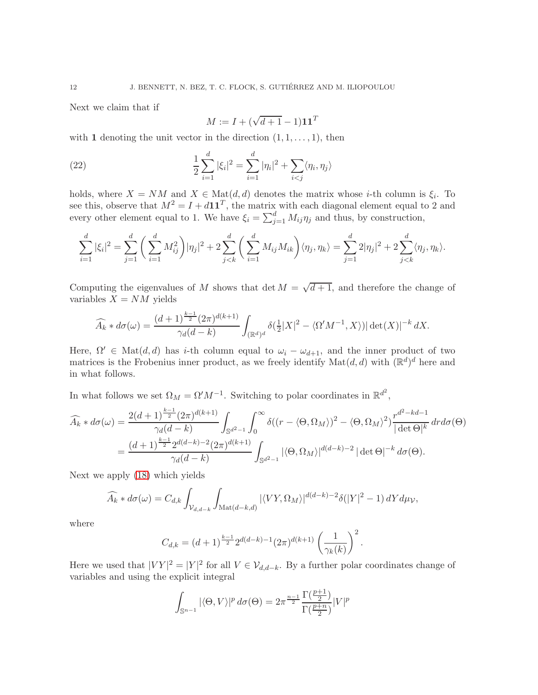Next we claim that if

$$
M := I + (\sqrt{d+1} - 1)\mathbf{1}\mathbf{1}^T
$$

with 1 denoting the unit vector in the direction  $(1, 1, \ldots, 1)$ , then

(22) 
$$
\frac{1}{2}\sum_{i=1}^{d}|\xi_{i}|^{2} = \sum_{i=1}^{d}|\eta_{i}|^{2} + \sum_{i
$$

holds, where  $X = NM$  and  $X \in Mat(d, d)$  denotes the matrix whose *i*-th column is  $\xi_i$ . To see this, observe that  $M^2 = I + d\mathbf{1}\mathbf{1}^T$ , the matrix with each diagonal element equal to 2 and every other element equal to 1. We have  $\xi_i = \sum_{j=1}^d M_{ij} \eta_j$  and thus, by construction,

$$
\sum_{i=1}^d |\xi_i|^2 = \sum_{j=1}^d \left( \sum_{i=1}^d M_{ij}^2 \right) |\eta_j|^2 + 2 \sum_{j < k}^d \left( \sum_{i=1}^d M_{ij} M_{ik} \right) \langle \eta_j, \eta_k \rangle = \sum_{j=1}^d 2|\eta_j|^2 + 2 \sum_{j < k}^d \langle \eta_j, \eta_k \rangle.
$$

Computing the eigenvalues of M shows that det  $M = \sqrt{d+1}$ , and therefore the change of variables  $X = NM$  yields

$$
\widehat{A_k} * d\sigma(\omega) = \frac{(d+1)^{\frac{k-1}{2}} (2\pi)^{d(k+1)}}{\gamma_d(d-k)} \int_{(\mathbb{R}^d)^d} \delta(\frac{1}{2}|X|^2 - \langle \Omega'M^{-1}, X \rangle) |\det(X)|^{-k} dX.
$$

Here,  $\Omega' \in \text{Mat}(d, d)$  has i-th column equal to  $\omega_i - \omega_{d+1}$ , and the inner product of two matrices is the Frobenius inner product, as we freely identify  $\text{Mat}(d, d)$  with  $(\mathbb{R}^d)^d$  here and in what follows.

In what follows we set  $\Omega_M = \Omega' M^{-1}$ . Switching to polar coordinates in  $\mathbb{R}^{d^2}$ ,

$$
\widehat{A_k} * d\sigma(\omega) = \frac{2(d+1)^{\frac{k-1}{2}} (2\pi)^{d(k+1)}}{\gamma_d(d-k)} \int_{\mathbb{S}^{d^2-1}} \int_0^\infty \delta((r-\langle \Theta, \Omega_M \rangle)^2 - \langle \Theta, \Omega_M \rangle^2) \frac{r^{d^2-kd-1}}{|\det \Theta|^k} dr d\sigma(\Theta)
$$

$$
= \frac{(d+1)^{\frac{k-1}{2}} 2^{d(d-k)-2} (2\pi)^{d(k+1)}}{\gamma_d(d-k)} \int_{\mathbb{S}^{d^2-1}} |\langle \Theta, \Omega_M \rangle|^{d(d-k)-2} |\det \Theta|^{-k} d\sigma(\Theta).
$$

Next we apply (18) which yields

$$
\widehat{A_k} * d\sigma(\omega) = C_{d,k} \int_{\mathcal{V}_{d,d-k}} \int_{\text{Mat}(d-k,d)} |\langle VY, \Omega_M \rangle|^{d(d-k)-2} \delta(|Y|^2 - 1) dY d\mu_{\mathcal{V}},
$$

where

$$
C_{d,k} = (d+1)^{\frac{k-1}{2}} 2^{d(d-k)-1} (2\pi)^{d(k+1)} \left(\frac{1}{\gamma_k(k)}\right)^2.
$$

Here we used that  $|VY|^2 = |Y|^2$  for all  $V \in \mathcal{V}_{d,d-k}$ . By a further polar coordinates change of variables and using the explicit integral

$$
\int_{\mathbb{S}^{n-1}} |\langle \Theta, V \rangle|^p \, d\sigma(\Theta) = 2\pi^{\frac{n-1}{2}} \frac{\Gamma(\frac{p+1}{2})}{\Gamma(\frac{p+n}{2})} |V|^p
$$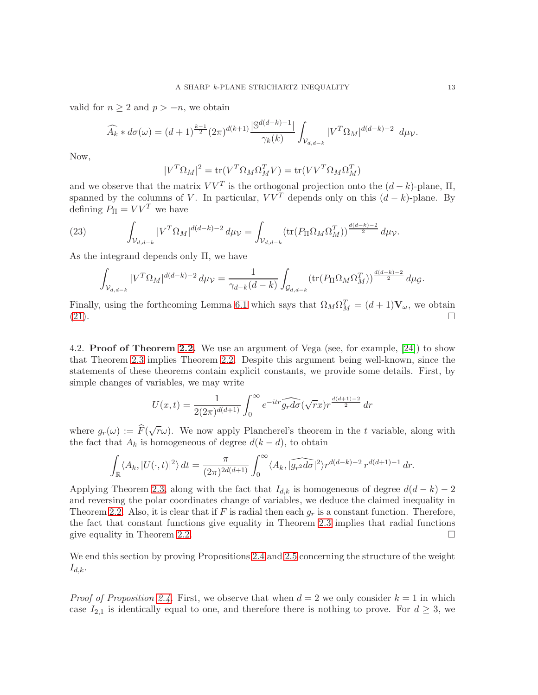valid for  $n \geq 2$  and  $p > -n$ , we obtain

$$
\widehat{A_k} * d\sigma(\omega) = (d+1)^{\frac{k-1}{2}} (2\pi)^{d(k+1)} \frac{|\mathbb{S}^{d(d-k)-1}|}{\gamma_k(k)} \int_{\mathcal{V}_{d,d-k}} |V^T \Omega_M|^{d(d-k)-2} d\mu_{\mathcal{V}}.
$$

Now,

$$
|V^T \Omega_M|^2 = \text{tr}(V^T \Omega_M \Omega_M^T V) = \text{tr}(V V^T \Omega_M \Omega_M^T)
$$

and we observe that the matrix  $VV^T$  is the orthogonal projection onto the  $(d-k)$ -plane,  $\Pi$ , spanned by the columns of V. In particular,  $VV^T$  depends only on this  $(d-k)$ -plane. By defining  $P_{\Pi} = VV^{T}$  we have

(23) 
$$
\int_{\mathcal{V}_{d,d-k}} |V^T \Omega_M|^{d(d-k)-2} d\mu_{\mathcal{V}} = \int_{\mathcal{V}_{d,d-k}} (\text{tr}(P_{\Pi} \Omega_M \Omega_M^T))^{\frac{d(d-k)-2}{2}} d\mu_{\mathcal{V}}.
$$

As the integrand depends only  $\Pi$ , we have

$$
\int_{\mathcal{V}_{d,d-k}} |V^T \Omega_M|^{d(d-k)-2} d\mu_{\mathcal{V}} = \frac{1}{\gamma_{d-k}(d-k)} \int_{\mathcal{G}_{d,d-k}} (\text{tr}(P_{\Pi} \Omega_M \Omega_M^T))^{\frac{d(d-k)-2}{2}} d\mu_{\mathcal{G}}.
$$

Finally, using the forthcoming Lemma 6.1 which says that  $\Omega_M \Omega_M^T = (d+1) \mathbf{V}_{\omega}$ , we obtain  $(21).$ 

4.2. Proof of Theorem 2.2. We use an argument of Vega (see, for example, [24]) to show that Theorem 2.3 implies Theorem 2.2. Despite this argument being well-known, since the statements of these theorems contain explicit constants, we provide some details. First, by simple changes of variables, we may write

$$
U(x,t) = \frac{1}{2(2\pi)^{d(d+1)}} \int_0^\infty e^{-itr} \widehat{g_r d\sigma}(\sqrt{r}x) r^{\frac{d(d+1)-2}{2}} dr
$$

where  $g_r(\omega) := \widehat{F}(\sqrt{r}\omega)$ . We now apply Plancherel's theorem in the t variable, along with the fact that  $A_k$  is homogeneous of degree  $d(k - d)$ , to obtain

$$
\int_{\mathbb{R}} \langle A_k, |U(\cdot, t)|^2 \rangle dt = \frac{\pi}{(2\pi)^{2d(d+1)}} \int_0^\infty \langle A_k, |\widehat{g_{r^2}d\sigma}|^2 \rangle r^{d(d-k)-2} r^{d(d+1)-1} dr.
$$

Applying Theorem 2.3, along with the fact that  $I_{d,k}$  is homogeneous of degree  $d(d-k)-2$ and reversing the polar coordinates change of variables, we deduce the claimed inequality in Theorem 2.2. Also, it is clear that if F is radial then each  $g_r$  is a constant function. Therefore, the fact that constant functions give equality in Theorem 2.3 implies that radial functions give equality in Theorem 2.2.

We end this section by proving Propositions 2.4 and 2.5 concerning the structure of the weight  $I_{d,k}$ .

*Proof of Proposition 2.4.* First, we observe that when  $d = 2$  we only consider  $k = 1$  in which case  $I_{2,1}$  is identically equal to one, and therefore there is nothing to prove. For  $d \geq 3$ , we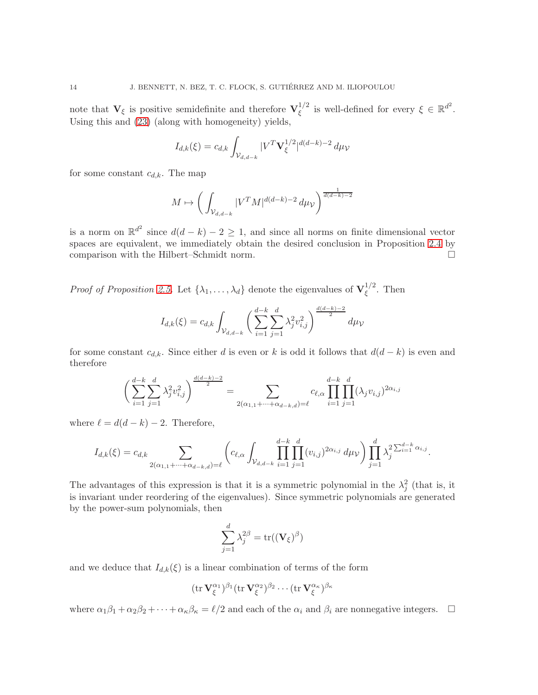note that  $V_{\xi}$  is positive semidefinite and therefore  $V_{\xi}^{1/2}$  $\zeta^{1/2}$  is well-defined for every  $\xi \in \mathbb{R}^{d^2}$ . Using this and (23) (along with homogeneity) yields,

$$
I_{d,k}(\xi) = c_{d,k} \int_{\mathcal{V}_{d,d-k}} |V^T \mathbf{V}_{\xi}^{1/2}|^{d(d-k)-2} d\mu \nu
$$

for some constant  $c_{d,k}$ . The map

$$
M \mapsto \left(\int_{\mathcal{V}_{d,d-k}} |V^T M|^{d(d-k)-2} \, d\mu \nu\right)^{\frac{1}{d(d-k)-2}}
$$

is a norm on  $\mathbb{R}^{d^2}$  since  $d(d-k)-2\geq 1$ , and since all norms on finite dimensional vector spaces are equivalent, we immediately obtain the desired conclusion in Proposition 2.4 by comparison with the Hilbert–Schmidt norm.

*Proof of Proposition 2.5.* Let  $\{\lambda_1, \ldots, \lambda_d\}$  denote the eigenvalues of  $\mathbf{V}_{\xi}^{1/2}$  $\zeta^{1/2}$ . Then

$$
I_{d,k}(\xi) = c_{d,k} \int_{\mathcal{V}_{d,d-k}} \left( \sum_{i=1}^{d-k} \sum_{j=1}^{d} \lambda_j^2 v_{i,j}^2 \right)^{\frac{d(d-k)-2}{2}} d\mu \nu
$$

for some constant  $c_{d,k}$ . Since either d is even or k is odd it follows that  $d(d-k)$  is even and therefore

$$
\left(\sum_{i=1}^{d-k} \sum_{j=1}^{d} \lambda_j^2 v_{i,j}^2\right)^{\frac{d(d-k)-2}{2}} = \sum_{2(\alpha_{1,1} + \dots + \alpha_{d-k,d}) = \ell} c_{\ell,\alpha} \prod_{i=1}^{d-k} \prod_{j=1}^{d} (\lambda_j v_{i,j})^{2\alpha_{i,j}}
$$

where  $\ell = d(d-k) - 2$ . Therefore,

$$
I_{d,k}(\xi) = c_{d,k} \sum_{2(\alpha_{1,1} + \dots + \alpha_{d-k,d}) = \ell} \left( c_{\ell,\alpha} \int_{\mathcal{V}_{d,d-k}} \prod_{i=1}^{d-k} \prod_{j=1}^d (v_{i,j})^{2\alpha_{i,j}} d\mu \nu \right) \prod_{j=1}^d \lambda_j^{2 \sum_{i=1}^{d-k} \alpha_{i,j}}.
$$

The advantages of this expression is that it is a symmetric polynomial in the  $\lambda_j^2$  (that is, it is invariant under reordering of the eigenvalues). Since symmetric polynomials are generated by the power-sum polynomials, then

$$
\sum_{j=1}^d \lambda_j^{2\beta} = \text{tr}((\mathbf{V}_{\xi})^{\beta})
$$

and we deduce that  $I_{d,k}(\xi)$  is a linear combination of terms of the form

$$
(\operatorname{tr} \mathbf{V}^{\alpha_1}_{\xi})^{\beta_1} (\operatorname{tr} \mathbf{V}^{\alpha_2}_{\xi})^{\beta_2} \cdots (\operatorname{tr} \mathbf{V}^{\alpha_{\kappa}}_{\xi})^{\beta_{\kappa}}
$$

where  $\alpha_1\beta_1 + \alpha_2\beta_2 + \cdots + \alpha_\kappa\beta_\kappa = \ell/2$  and each of the  $\alpha_i$  and  $\beta_i$  are nonnegative integers.  $\Box$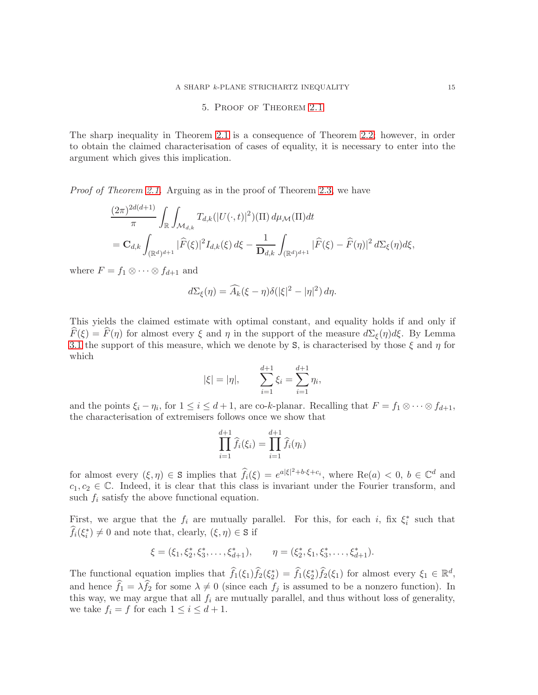#### 5. Proof of Theorem 2.1

The sharp inequality in Theorem 2.1 is a consequence of Theorem 2.2; however, in order to obtain the claimed characterisation of cases of equality, it is necessary to enter into the argument which gives this implication.

Proof of Theorem 2.1. Arguing as in the proof of Theorem 2.3, we have

$$
\frac{(2\pi)^{2d(d+1)}}{\pi} \int_{\mathbb{R}} \int_{\mathcal{M}_{d,k}} T_{d,k}(|U(\cdot,t)|^2) (\Pi) d\mu_{\mathcal{M}}(\Pi) dt \n= \mathbf{C}_{d,k} \int_{(\mathbb{R}^d)^{d+1}} |\widehat{F}(\xi)|^2 I_{d,k}(\xi) d\xi - \frac{1}{\mathbf{D}_{d,k}} \int_{(\mathbb{R}^d)^{d+1}} |\widehat{F}(\xi) - \widehat{F}(\eta)|^2 d\Sigma_{\xi}(\eta) d\xi,
$$

where  $F = f_1 \otimes \cdots \otimes f_{d+1}$  and

$$
d\Sigma_{\xi}(\eta) = \widehat{A_k}(\xi - \eta)\delta(|\xi|^2 - |\eta|^2) d\eta.
$$

This yields the claimed estimate with optimal constant, and equality holds if and only if  $\hat{F}(\xi) = \hat{F}(\eta)$  for almost every  $\xi$  and  $\eta$  in the support of the measure  $d\Sigma_{\xi}(\eta)d\xi$ . By Lemma 3.1 the support of this measure, which we denote by S, is characterised by those  $\xi$  and  $\eta$  for which

$$
|\xi| = |\eta|,
$$
 
$$
\sum_{i=1}^{d+1} \xi_i = \sum_{i=1}^{d+1} \eta_i,
$$

and the points  $\xi_i - \eta_i$ , for  $1 \leq i \leq d+1$ , are co-k-planar. Recalling that  $F = f_1 \otimes \cdots \otimes f_{d+1}$ , the characterisation of extremisers follows once we show that

$$
\prod_{i=1}^{d+1} \hat{f}_i(\xi_i) = \prod_{i=1}^{d+1} \hat{f}_i(\eta_i)
$$

for almost every  $(\xi, \eta) \in S$  implies that  $\hat{f}_i(\xi) = e^{a|\xi|^2 + b \cdot \xi + c_i}$ , where  $\text{Re}(a) < 0, b \in \mathbb{C}^d$  and  $c_1, c_2 \in \mathbb{C}$ . Indeed, it is clear that this class is invariant under the Fourier transform, and such  $f_i$  satisfy the above functional equation.

First, we argue that the  $f_i$  are mutually parallel. For this, for each i, fix  $\xi_i^*$  such that  $\widehat{f}_i(\xi_i^*) \neq 0$  and note that, clearly,  $(\xi, \eta) \in \mathbf{S}$  if

$$
\xi = (\xi_1, \xi_2^*, \xi_3^*, \dots, \xi_{d+1}^*), \qquad \eta = (\xi_2^*, \xi_1, \xi_3^*, \dots, \xi_{d+1}^*).
$$

The functional equation implies that  $\hat{f}_1(\xi_1)\hat{f}_2(\xi_2^*) = \hat{f}_1(\xi_2^*)\hat{f}_2(\xi_1)$  for almost every  $\xi_1 \in \mathbb{R}^d$ , and hence  $f_1 = \lambda f_2$  for some  $\lambda \neq 0$  (since each  $f_j$  is assumed to be a nonzero function). In this way, we may argue that all  $f_i$  are mutually parallel, and thus without loss of generality, we take  $f_i = f$  for each  $1 \leq i \leq d+1$ .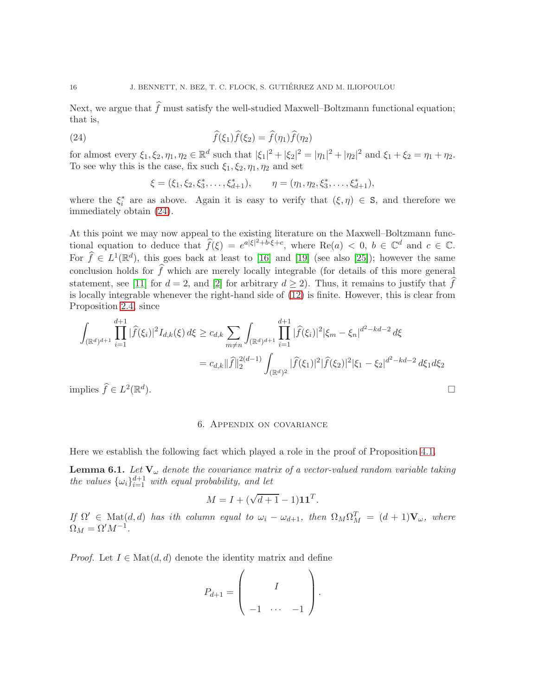Next, we argue that  $\widehat{f}$  must satisfy the well-studied Maxwell–Boltzmann functional equation; that is,

(24) 
$$
\widehat{f}(\xi_1)\widehat{f}(\xi_2) = \widehat{f}(\eta_1)\widehat{f}(\eta_2)
$$

for almost every  $\xi_1, \xi_2, \eta_1, \eta_2 \in \mathbb{R}^d$  such that  $|\xi_1|^2 + |\xi_2|^2 = |\eta_1|^2 + |\eta_2|^2$  and  $\xi_1 + \xi_2 = \eta_1 + \eta_2$ . To see why this is the case, fix such  $\xi_1, \xi_2, \eta_1, \eta_2$  and set

$$
\xi = (\xi_1, \xi_2, \xi_3^*, \dots, \xi_{d+1}^*), \qquad \eta = (\eta_1, \eta_2, \xi_3^*, \dots, \xi_{d+1}^*),
$$

where the  $\xi_i^*$  are as above. Again it is easy to verify that  $(\xi, \eta) \in S$ , and therefore we immediately obtain (24).

At this point we may now appeal to the existing literature on the Maxwell–Boltzmann functional equation to deduce that  $\widehat{f}(\xi) = e^{a|\xi|^2 + b \cdot \xi + c}$ , where  $\text{Re}(a) < 0, b \in \mathbb{C}^d$  and  $c \in \mathbb{C}$ . For  $\widehat{f} \in L^1(\mathbb{R}^d)$ , this goes back at least to [16] and [19] (see also [25]); however the same conclusion holds for  $\widehat{f}$  which are merely locally integrable (for details of this more general statement, see [11] for  $d = 2$ , and [2] for arbitrary  $d \ge 2$ ). Thus, it remains to justify that f is locally integrable whenever the right-hand side of (12) is finite. However, this is clear from Proposition 2.4, since

$$
\int_{(\mathbb{R}^d)^{d+1}} \prod_{i=1}^{d+1} |\widehat{f}(\xi_i)|^2 I_{d,k}(\xi) d\xi \ge c_{d,k} \sum_{m \ne n} \int_{(\mathbb{R}^d)^{d+1}} \prod_{i=1}^{d+1} |\widehat{f}(\xi_i)|^2 |\xi_m - \xi_n|^{d^2 - kd - 2} d\xi
$$
  

$$
= c_{d,k} ||\widehat{f}||_2^{2(d-1)} \int_{(\mathbb{R}^d)^2} |\widehat{f}(\xi_1)|^2 |\widehat{f}(\xi_2)|^2 |\xi_1 - \xi_2|^{d^2 - kd - 2} d\xi_1 d\xi_2
$$
uples  $\widehat{f} \in L^2(\mathbb{R}^d)$ .

implies  $\widehat{f} \in L^2(\mathbb{R}^d)$ 

#### 6. Appendix on covariance

Here we establish the following fact which played a role in the proof of Proposition 4.1.

**Lemma 6.1.** Let  $V_{\omega}$  denote the covariance matrix of a vector-valued random variable taking the values  $\{\omega_i\}_{i=1}^{d+1}$  with equal probability, and let

$$
M = I + (\sqrt{d+1} - 1)\mathbf{1}\mathbf{1}^T.
$$

If  $\Omega' \in \text{Mat}(d, d)$  has ith column equal to  $\omega_i - \omega_{d+1}$ , then  $\Omega_M \Omega_M^T = (d+1) \mathbf{V}_{\omega}$ , where  $\Omega_M = \Omega'M^{-1}.$ 

*Proof.* Let  $I \in \text{Mat}(d, d)$  denote the identity matrix and define

$$
P_{d+1} = \left(\begin{array}{ccc} & & \\ & I & \\ -1 & \cdots & -1 \end{array}\right).
$$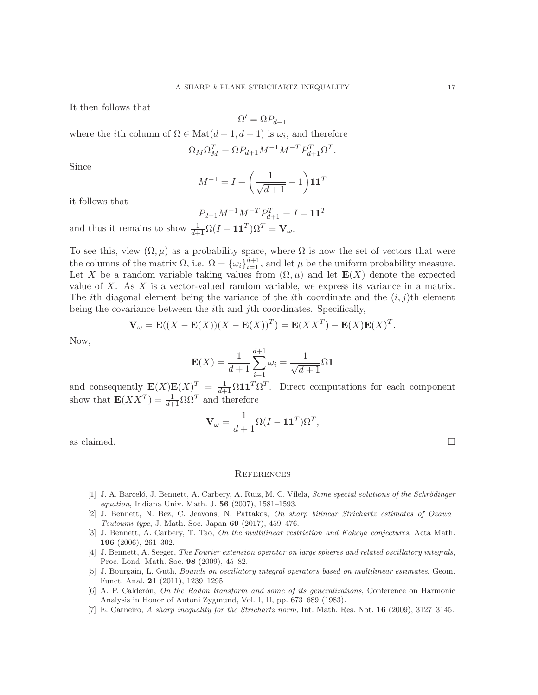It then follows that

$$
\Omega' = \Omega P_{d+1}
$$

where the *i*th column of  $\Omega \in \text{Mat}(d+1, d+1)$  is  $\omega_i$ , and therefore

$$
\Omega_M \Omega_M^T = \Omega P_{d+1} M^{-1} M^{-T} P_{d+1}^T \Omega^T.
$$

Since

$$
M^{-1} = I + \left(\frac{1}{\sqrt{d+1}} - 1\right) \mathbf{1} \mathbf{1}^T
$$

it follows that

$$
P_{d+1}M^{-1}M^{-T}P_{d+1}^T = I - \mathbf{1}\mathbf{1}^T
$$

and thus it remains to show  $\frac{1}{d+1}\Omega(I - \mathbf{1}\mathbf{1}^T)\Omega^T = \mathbf{V}_{\omega}$ .

To see this, view  $(\Omega, \mu)$  as a probability space, where  $\Omega$  is now the set of vectors that were the columns of the matrix  $\Omega$ , i.e.  $\Omega = {\omega_i}_{i=1}^{d+1}$ , and let  $\mu$  be the uniform probability measure. Let X be a random variable taking values from  $(\Omega, \mu)$  and let  $\mathbf{E}(X)$  denote the expected value of X. As X is a vector-valued random variable, we express its variance in a matrix. The ith diagonal element being the variance of the ith coordinate and the  $(i, j)$ th element being the covariance between the ith and jth coordinates. Specifically,

$$
\mathbf{V}_{\omega} = \mathbf{E}((X - \mathbf{E}(X))(X - \mathbf{E}(X))^T) = \mathbf{E}(XX^T) - \mathbf{E}(X)\mathbf{E}(X)^T.
$$

Now,

$$
\mathbf{E}(X) = \frac{1}{d+1} \sum_{i=1}^{d+1} \omega_i = \frac{1}{\sqrt{d+1}} \Omega \mathbf{1}
$$

and consequently  $\mathbf{E}(X)\mathbf{E}(X)^T = \frac{1}{d+1}\Omega \mathbf{1}\mathbf{1}^T\Omega^T$ . Direct computations for each component show that  $\mathbf{E}(XX^T) = \frac{1}{d+1}\Omega \Omega^T$  and therefore

$$
\mathbf{V}_{\omega} = \frac{1}{d+1} \Omega (I - \mathbf{1} \mathbf{1}^T) \Omega^T,
$$

as claimed.  $\Box$ 

#### **REFERENCES**

- [1] J. A. Barceló, J. Bennett, A. Carbery, A. Ruiz, M. C. Vilela, Some special solutions of the Schrödinger equation, Indiana Univ. Math. J. 56 (2007), 1581–1593.
- [2] J. Bennett, N. Bez, C. Jeavons, N. Pattakos, On sharp bilinear Strichartz estimates of Ozawa– Tsutsumi type, J. Math. Soc. Japan 69 (2017), 459–476.
- [3] J. Bennett, A. Carbery, T. Tao, On the multilinear restriction and Kakeya conjectures, Acta Math. 196 (2006), 261–302.
- [4] J. Bennett, A. Seeger, The Fourier extension operator on large spheres and related oscillatory integrals, Proc. Lond. Math. Soc. 98 (2009), 45–82.
- [5] J. Bourgain, L. Guth, Bounds on oscillatory integral operators based on multilinear estimates, Geom. Funct. Anal. 21 (2011), 1239–1295.
- $[6]$  A. P. Calderón, *On the Radon transform and some of its generalizations*, Conference on Harmonic Analysis in Honor of Antoni Zygmund, Vol. I, II, pp. 673–689 (1983).
- [7] E. Carneiro, A sharp inequality for the Strichartz norm, Int. Math. Res. Not. 16 (2009), 3127–3145.